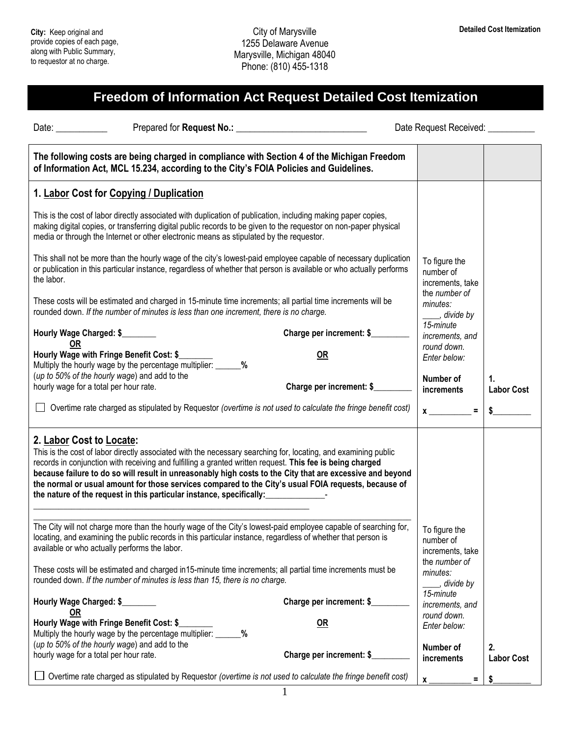## **Freedom of Information Act Request Detailed Cost Itemization**

| Date: $\_\_$                                                                                                                                                | Prepared for Request No.:                                                                                                                                                                                                                                                                                                                                                                                                                        | Date Request Received: _______                 |                         |
|-------------------------------------------------------------------------------------------------------------------------------------------------------------|--------------------------------------------------------------------------------------------------------------------------------------------------------------------------------------------------------------------------------------------------------------------------------------------------------------------------------------------------------------------------------------------------------------------------------------------------|------------------------------------------------|-------------------------|
|                                                                                                                                                             | The following costs are being charged in compliance with Section 4 of the Michigan Freedom<br>of Information Act, MCL 15.234, according to the City's FOIA Policies and Guidelines.                                                                                                                                                                                                                                                              |                                                |                         |
| 1. Labor Cost for Copying / Duplication                                                                                                                     |                                                                                                                                                                                                                                                                                                                                                                                                                                                  |                                                |                         |
|                                                                                                                                                             | This is the cost of labor directly associated with duplication of publication, including making paper copies,<br>making digital copies, or transferring digital public records to be given to the requestor on non-paper physical<br>media or through the Internet or other electronic means as stipulated by the requestor.                                                                                                                     |                                                |                         |
| the labor.                                                                                                                                                  | This shall not be more than the hourly wage of the city's lowest-paid employee capable of necessary duplication<br>or publication in this particular instance, regardless of whether that person is available or who actually performs                                                                                                                                                                                                           | To figure the<br>number of<br>increments, take |                         |
|                                                                                                                                                             | These costs will be estimated and charged in 15-minute time increments; all partial time increments will be<br>rounded down. If the number of minutes is less than one increment, there is no charge.                                                                                                                                                                                                                                            | the number of<br>minutes:<br>divide by         |                         |
| Hourly Wage Charged: \$<br>OR                                                                                                                               | Charge per increment: \$                                                                                                                                                                                                                                                                                                                                                                                                                         | 15-minute<br>increments, and                   |                         |
| Hourly Wage with Fringe Benefit Cost: \$<br>Multiply the hourly wage by the percentage multiplier: ______%<br>(up to 50% of the hourly wage) and add to the | <b>OR</b>                                                                                                                                                                                                                                                                                                                                                                                                                                        | round down.<br>Enter below:                    |                         |
| hourly wage for a total per hour rate.                                                                                                                      | Charge per increment: \$                                                                                                                                                                                                                                                                                                                                                                                                                         | Number of<br>increments                        | 1.<br><b>Labor Cost</b> |
|                                                                                                                                                             | Overtime rate charged as stipulated by Requestor (overtime is not used to calculate the fringe benefit cost)                                                                                                                                                                                                                                                                                                                                     | $\equiv$<br>$\mathbf x$                        | \$                      |
| 2. Labor Cost to Locate:<br>the nature of the request in this particular instance, specifically:                                                            | This is the cost of labor directly associated with the necessary searching for, locating, and examining public<br>records in conjunction with receiving and fulfilling a granted written request. This fee is being charged<br>because failure to do so will result in unreasonably high costs to the City that are excessive and beyond<br>the normal or usual amount for those services compared to the City's usual FOIA requests, because of |                                                |                         |
| available or who actually performs the labor.                                                                                                               | The City will not charge more than the hourly wage of the City's lowest-paid employee capable of searching for,<br>locating, and examining the public records in this particular instance, regardless of whether that person is                                                                                                                                                                                                                  | To figure the<br>number of<br>increments, take |                         |
| rounded down. If the number of minutes is less than 15, there is no charge.                                                                                 | These costs will be estimated and charged in15-minute time increments; all partial time increments must be                                                                                                                                                                                                                                                                                                                                       | the number of<br>minutes:<br>stride by         |                         |
| Hourly Wage Charged: \$<br><u>OR</u>                                                                                                                        | Charge per increment: \$                                                                                                                                                                                                                                                                                                                                                                                                                         | 15-minute<br>increments, and                   |                         |
| Hourly Wage with Fringe Benefit Cost: \$<br>Multiply the hourly wage by the percentage multiplier: _____<br>(up to 50% of the hourly wage) and add to the   | OR<br>%                                                                                                                                                                                                                                                                                                                                                                                                                                          | round down.<br>Enter below:                    |                         |
| hourly wage for a total per hour rate.                                                                                                                      | Charge per increment: \$                                                                                                                                                                                                                                                                                                                                                                                                                         | Number of<br>increments                        | 2.<br><b>Labor Cost</b> |
|                                                                                                                                                             | Overtime rate charged as stipulated by Requestor (overtime is not used to calculate the fringe benefit cost)                                                                                                                                                                                                                                                                                                                                     | $\mathbf{x}$<br>Ξ                              |                         |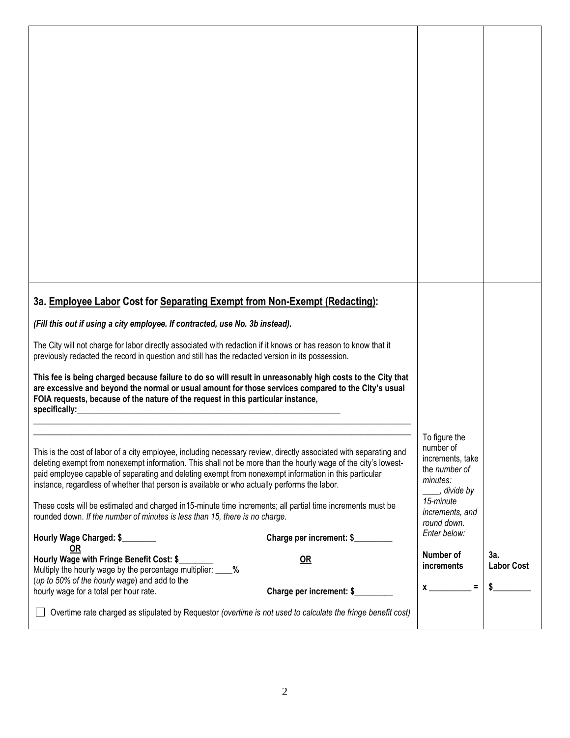| 3a. Employee Labor Cost for Separating Exempt from Non-Exempt (Redacting):                                                                                                                                                                                                                                                                                                                                                                  |                                                            |                   |
|---------------------------------------------------------------------------------------------------------------------------------------------------------------------------------------------------------------------------------------------------------------------------------------------------------------------------------------------------------------------------------------------------------------------------------------------|------------------------------------------------------------|-------------------|
|                                                                                                                                                                                                                                                                                                                                                                                                                                             |                                                            |                   |
| (Fill this out if using a city employee. If contracted, use No. 3b instead).                                                                                                                                                                                                                                                                                                                                                                |                                                            |                   |
| The City will not charge for labor directly associated with redaction if it knows or has reason to know that it<br>previously redacted the record in question and still has the redacted version in its possession.                                                                                                                                                                                                                         |                                                            |                   |
| This fee is being charged because failure to do so will result in unreasonably high costs to the City that                                                                                                                                                                                                                                                                                                                                  |                                                            |                   |
| are excessive and beyond the normal or usual amount for those services compared to the City's usual<br>FOIA requests, because of the nature of the request in this particular instance,                                                                                                                                                                                                                                                     |                                                            |                   |
| specifically:<br><u> 1989 - Johann Stoff, deutscher Stoffen und der Stoffen und der Stoffen und der Stoffen und der Stoffen und de</u>                                                                                                                                                                                                                                                                                                      |                                                            |                   |
|                                                                                                                                                                                                                                                                                                                                                                                                                                             | To figure the                                              |                   |
| This is the cost of labor of a city employee, including necessary review, directly associated with separating and<br>deleting exempt from nonexempt information. This shall not be more than the hourly wage of the city's lowest-<br>paid employee capable of separating and deleting exempt from nonexempt information in this particular<br>instance, regardless of whether that person is available or who actually performs the labor. | number of<br>increments, take<br>the number of<br>minutes: |                   |
| These costs will be estimated and charged in 15-minute time increments; all partial time increments must be<br>rounded down. If the number of minutes is less than 15, there is no charge.                                                                                                                                                                                                                                                  | ___, divide by<br>15-minute<br>increments, and             |                   |
| Hourly Wage Charged: \$<br>Charge per increment: \$                                                                                                                                                                                                                                                                                                                                                                                         | round down.<br>Enter below:                                |                   |
| <b>OR</b><br>Hourly Wage with Fringe Benefit Cost: \$<br><b>OR</b><br>Multiply the hourly wage by the percentage multiplier: ____ %                                                                                                                                                                                                                                                                                                         | Number of<br>increments                                    | 3a.               |
| (up to 50% of the hourly wage) and add to the<br>hourly wage for a total per hour rate.<br>Charge per increment: \$                                                                                                                                                                                                                                                                                                                         | $x \sim$ =                                                 | <b>Labor Cost</b> |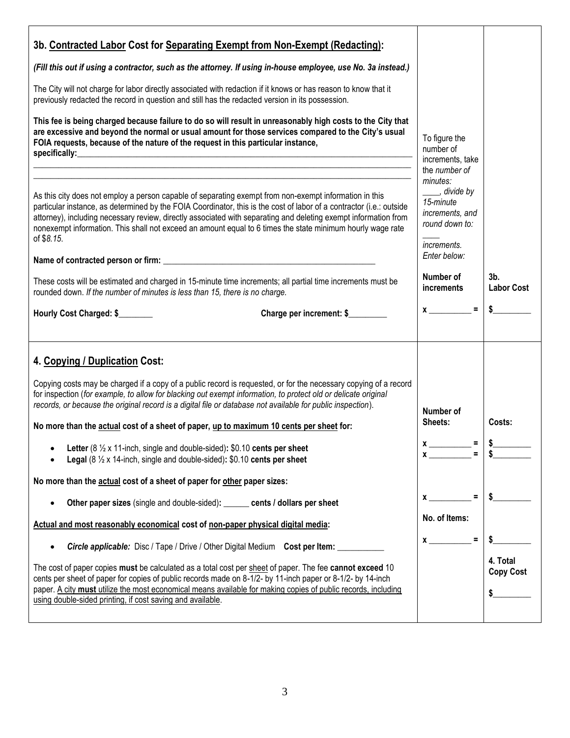| 3b. Contracted Labor Cost for Separating Exempt from Non-Exempt (Redacting):<br>(Fill this out if using a contractor, such as the attorney. If using in-house employee, use No. 3a instead.)<br>The City will not charge for labor directly associated with redaction if it knows or has reason to know that it<br>previously redacted the record in question and still has the redacted version in its possession.<br>This fee is being charged because failure to do so will result in unreasonably high costs to the City that<br>are excessive and beyond the normal or usual amount for those services compared to the City's usual<br>FOIA requests, because of the nature of the request in this particular instance,<br>specifically: experience and the specifical specifical specifical specifical specifical specifical specifical specifical specifical specifical specifical specifical specifical specifical specifical specifical specifical sp<br><u> 1989 - Johann Barn, mars an t-Amerikaansk komponister (* 1958)</u> | To figure the<br>number of<br>increments, take                                                                                                                                |                                               |
|------------------------------------------------------------------------------------------------------------------------------------------------------------------------------------------------------------------------------------------------------------------------------------------------------------------------------------------------------------------------------------------------------------------------------------------------------------------------------------------------------------------------------------------------------------------------------------------------------------------------------------------------------------------------------------------------------------------------------------------------------------------------------------------------------------------------------------------------------------------------------------------------------------------------------------------------------------------------------------------------------------------------------------------|-------------------------------------------------------------------------------------------------------------------------------------------------------------------------------|-----------------------------------------------|
| As this city does not employ a person capable of separating exempt from non-exempt information in this<br>particular instance, as determined by the FOIA Coordinator, this is the cost of labor of a contractor (i.e.: outside<br>attorney), including necessary review, directly associated with separating and deleting exempt information from<br>nonexempt information. This shall not exceed an amount equal to 6 times the state minimum hourly wage rate<br>of \$8.15.<br>These costs will be estimated and charged in 15-minute time increments; all partial time increments must be<br>rounded down. If the number of minutes is less than 15, there is no charge.<br>Hourly Cost Charged: \$<br>Charge per increment: \$                                                                                                                                                                                                                                                                                                       | the number of<br>minutes:<br>____, divide by<br>15-minute<br>increments, and<br>round down to:<br>increments.<br>Enter below:<br>Number of<br><i>increments</i><br>$x \sim 1$ | 3 <sub>b</sub><br><b>Labor Cost</b><br>$\sim$ |
| 4. Copying / Duplication Cost:<br>Copying costs may be charged if a copy of a public record is requested, or for the necessary copying of a record<br>for inspection (for example, to allow for blacking out exempt information, to protect old or delicate original<br>records, or because the original record is a digital file or database not available for public inspection).<br>No more than the actual cost of a sheet of paper, up to maximum 10 cents per sheet for:<br>Letter (8 $\frac{1}{2}$ x 11-inch, single and double-sided): \$0.10 cents per sheet<br>٠<br><b>Legal</b> (8 $\frac{1}{2}$ x 14-inch, single and double-sided): \$0.10 cents per sheet<br>No more than the actual cost of a sheet of paper for other paper sizes:                                                                                                                                                                                                                                                                                       | Number of<br>Sheets:<br>$x \overline{\phantom{a}} =$<br>$x =$                                                                                                                 | Costs:<br>\$                                  |
| Other paper sizes (single and double-sided): ______ cents / dollars per sheet<br>$\bullet$<br>Actual and most reasonably economical cost of non-paper physical digital media:<br><b>Circle applicable:</b> Disc / Tape / Drive / Other Digital Medium Cost per Item:<br>$\bullet$<br>The cost of paper copies must be calculated as a total cost per sheet of paper. The fee cannot exceed 10<br>cents per sheet of paper for copies of public records made on 8-1/2- by 11-inch paper or 8-1/2- by 14-inch<br>paper. A city must utilize the most economical means available for making copies of public records, including<br>using double-sided printing, if cost saving and available.                                                                                                                                                                                                                                                                                                                                               | No. of Items:<br>$x \sim$ =                                                                                                                                                   | \$<br>4. Total<br><b>Copy Cost</b><br>\$      |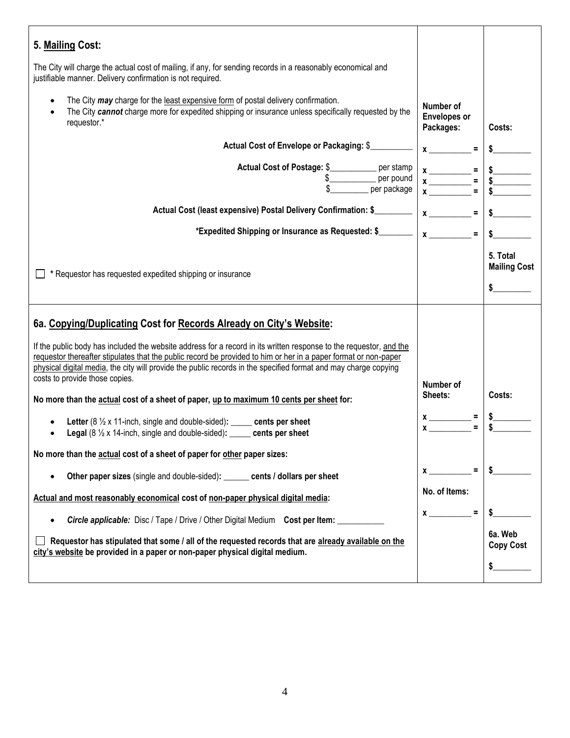| 5. Mailing Cost:                                                                                                                                                                                                                                                                                                                                                                           |                                                |                                                                     |
|--------------------------------------------------------------------------------------------------------------------------------------------------------------------------------------------------------------------------------------------------------------------------------------------------------------------------------------------------------------------------------------------|------------------------------------------------|---------------------------------------------------------------------|
| The City will charge the actual cost of mailing, if any, for sending records in a reasonably economical and<br>justifiable manner. Delivery confirmation is not required.                                                                                                                                                                                                                  |                                                |                                                                     |
| The City may charge for the least expensive form of postal delivery confirmation.<br>$\bullet$<br>The City cannot charge more for expedited shipping or insurance unless specifically requested by the<br>requestor.*                                                                                                                                                                      | Number of<br><b>Envelopes or</b><br>Packages:  | Costs:                                                              |
| Actual Cost of Envelope or Packaging: \$                                                                                                                                                                                                                                                                                                                                                   | $\boldsymbol{x}$                               |                                                                     |
| Actual Cost of Postage: \$___________ per stamp<br>$$$ per pound<br>per package                                                                                                                                                                                                                                                                                                            |                                                | $\begin{array}{c}\n\text{S}\n\hline\n\text{S}\n\hline\n\end{array}$ |
| Actual Cost (least expensive) Postal Delivery Confirmation: \$                                                                                                                                                                                                                                                                                                                             | $x \overline{\phantom{a}} =$                   |                                                                     |
| *Expedited Shipping or Insurance as Requested: \$                                                                                                                                                                                                                                                                                                                                          | $x \overline{\phantom{a}}$<br>$\equiv$         |                                                                     |
| * Requestor has requested expedited shipping or insurance                                                                                                                                                                                                                                                                                                                                  |                                                | 5. Total<br><b>Mailing Cost</b><br>$\sim$                           |
| 6a. Copying/Duplicating Cost for Records Already on City's Website:                                                                                                                                                                                                                                                                                                                        |                                                |                                                                     |
| If the public body has included the website address for a record in its written response to the requestor, and the<br>requestor thereafter stipulates that the public record be provided to him or her in a paper format or non-paper<br>physical digital media, the city will provide the public records in the specified format and may charge copying<br>costs to provide those copies. |                                                |                                                                     |
| No more than the actual cost of a sheet of paper, up to maximum 10 cents per sheet for:                                                                                                                                                                                                                                                                                                    | Number of<br>Sheets:                           | Costs:                                                              |
| Letter $(8 \frac{1}{2} \times 11$ -inch, single and double-sided): _____ cents per sheet<br><b>Legal</b> ( $8\frac{1}{2}$ x 14-inch, single and double-sided): _____ cents per sheet                                                                                                                                                                                                       | $x \overline{\phantom{a}}$<br>$x_{\text{max}}$ |                                                                     |
| No more than the actual cost of a sheet of paper for other paper sizes:                                                                                                                                                                                                                                                                                                                    |                                                |                                                                     |
| Other paper sizes (single and double-sided): ______ cents / dollars per sheet<br>$\bullet$                                                                                                                                                                                                                                                                                                 | $x =$                                          | \$                                                                  |
| Actual and most reasonably economical cost of non-paper physical digital media:                                                                                                                                                                                                                                                                                                            | No. of Items:                                  |                                                                     |
| <b>Circle applicable:</b> Disc / Tape / Drive / Other Digital Medium Cost per Item: ____<br>$\bullet$                                                                                                                                                                                                                                                                                      | $\equiv$<br>$x \sim$                           |                                                                     |
| Requestor has stipulated that some / all of the requested records that are already available on the<br>city's website be provided in a paper or non-paper physical digital medium.                                                                                                                                                                                                         |                                                | 6a. Web<br><b>Copy Cost</b>                                         |
|                                                                                                                                                                                                                                                                                                                                                                                            |                                                | \$                                                                  |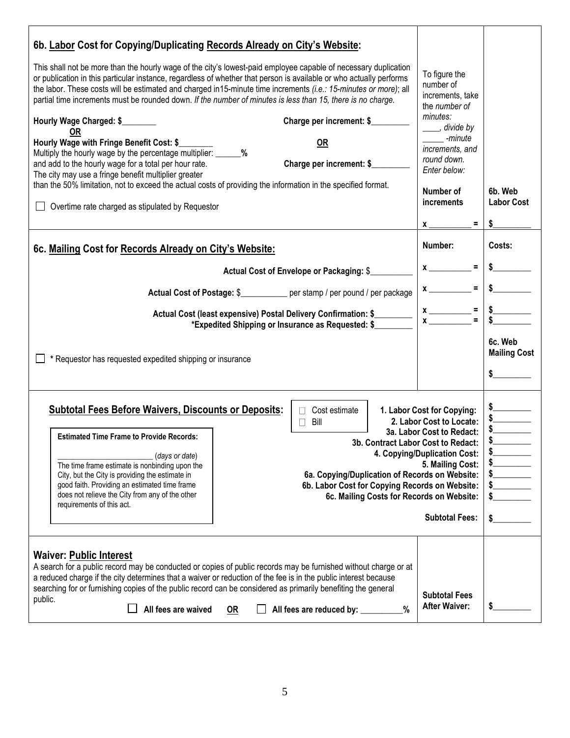| 6b. Labor Cost for Copying/Duplicating Records Already on City's Website:                                                                                                                                                                                                                                                                                                                                                                                                                                                                                                                                                                                                                                                                                                                                                                                                                                                                                                               |                                                                                                                                                                                        |                                                                      |
|-----------------------------------------------------------------------------------------------------------------------------------------------------------------------------------------------------------------------------------------------------------------------------------------------------------------------------------------------------------------------------------------------------------------------------------------------------------------------------------------------------------------------------------------------------------------------------------------------------------------------------------------------------------------------------------------------------------------------------------------------------------------------------------------------------------------------------------------------------------------------------------------------------------------------------------------------------------------------------------------|----------------------------------------------------------------------------------------------------------------------------------------------------------------------------------------|----------------------------------------------------------------------|
| This shall not be more than the hourly wage of the city's lowest-paid employee capable of necessary duplication<br>or publication in this particular instance, regardless of whether that person is available or who actually performs<br>the labor. These costs will be estimated and charged in15-minute time increments (i.e.: 15-minutes or more); all<br>partial time increments must be rounded down. If the number of minutes is less than 15, there is no charge.<br>Charge per increment: \$<br>Hourly Wage Charged: \$<br>OR<br>Hourly Wage with Fringe Benefit Cost: \$<br><b>OR</b><br>Multiply the hourly wage by the percentage multiplier: _______ %<br>Charge per increment: \$<br>and add to the hourly wage for a total per hour rate.<br>The city may use a fringe benefit multiplier greater<br>than the 50% limitation, not to exceed the actual costs of providing the information in the specified format.<br>□ Overtime rate charged as stipulated by Requestor | To figure the<br>number of<br>increments, take<br>the number of<br>minutes:<br>____, divide by<br>-minute<br>increments, and<br>round down.<br>Enter below:<br>Number of<br>increments | 6b. Web<br><b>Labor Cost</b>                                         |
|                                                                                                                                                                                                                                                                                                                                                                                                                                                                                                                                                                                                                                                                                                                                                                                                                                                                                                                                                                                         | $=$ $\sqrt{2}$<br>$x \overline{\phantom{a}}$                                                                                                                                           |                                                                      |
| 6c. Mailing Cost for Records Already on City's Website:                                                                                                                                                                                                                                                                                                                                                                                                                                                                                                                                                                                                                                                                                                                                                                                                                                                                                                                                 | Number:                                                                                                                                                                                | Costs:                                                               |
| Actual Cost of Envelope or Packaging: \$                                                                                                                                                                                                                                                                                                                                                                                                                                                                                                                                                                                                                                                                                                                                                                                                                                                                                                                                                | $x$ <sub>______</sub><br>$=$ $\overline{ }$                                                                                                                                            |                                                                      |
| Actual Cost of Postage: \$__________ per stamp / per pound / per package                                                                                                                                                                                                                                                                                                                                                                                                                                                                                                                                                                                                                                                                                                                                                                                                                                                                                                                | $=$ $\blacksquare$                                                                                                                                                                     |                                                                      |
| Actual Cost (least expensive) Postal Delivery Confirmation: \$<br>*Expedited Shipping or Insurance as Requested: \$                                                                                                                                                                                                                                                                                                                                                                                                                                                                                                                                                                                                                                                                                                                                                                                                                                                                     | $x \overline{\phantom{a}} =$                                                                                                                                                           |                                                                      |
| * Requestor has requested expedited shipping or insurance                                                                                                                                                                                                                                                                                                                                                                                                                                                                                                                                                                                                                                                                                                                                                                                                                                                                                                                               |                                                                                                                                                                                        | 6c. Web<br><b>Mailing Cost</b><br>$\sim$                             |
| <b>Subtotal Fees Before Waivers, Discounts or Deposits:</b><br>$\Box$ Cost estimate<br>Bill<br>П<br><b>Estimated Time Frame to Provide Records:</b><br>3b. Contract Labor Cost to Redact:<br>(days or date)<br>The time frame estimate is nonbinding upon the<br>6a. Copying/Duplication of Records on Website:<br>City, but the City is providing the estimate in<br>good faith. Providing an estimated time frame<br>6b. Labor Cost for Copying Records on Website:<br>does not relieve the City from any of the other<br>6c. Mailing Costs for Records on Website:<br>requirements of this act.                                                                                                                                                                                                                                                                                                                                                                                      | 1. Labor Cost for Copying:<br>2. Labor Cost to Locate:<br>3a. Labor Cost to Redact:<br>4. Copying/Duplication Cost:<br>5. Mailing Cost:<br><b>Subtotal Fees:</b>                       | $\frac{1}{2}$<br>$\frac{1}{2}$<br>$\frac{1}{2}$<br>s<br>$\sim$<br>\$ |
| <b>Waiver: Public Interest</b><br>A search for a public record may be conducted or copies of public records may be furnished without charge or at<br>a reduced charge if the city determines that a waiver or reduction of the fee is in the public interest because<br>searching for or furnishing copies of the public record can be considered as primarily benefiting the general<br>public.<br>All fees are waived<br>All fees are reduced by: _________<br><b>OR</b><br>%                                                                                                                                                                                                                                                                                                                                                                                                                                                                                                         | <b>Subtotal Fees</b><br><b>After Waiver:</b>                                                                                                                                           | \$                                                                   |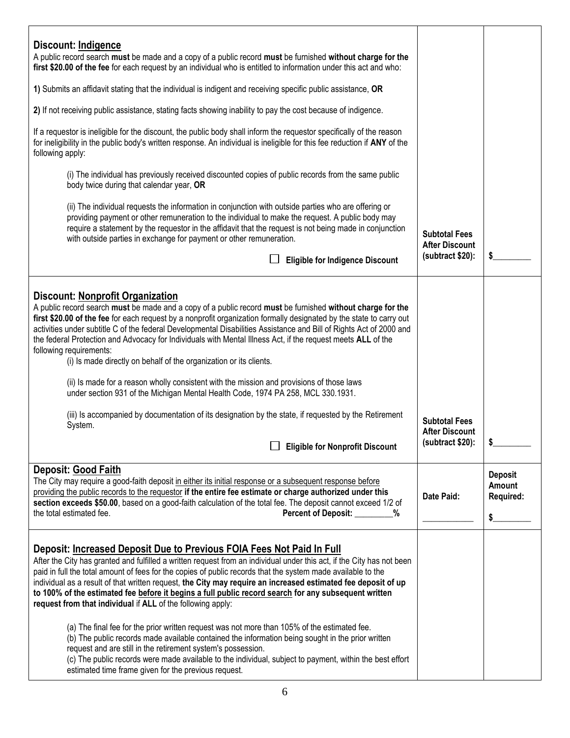| Discount: Indigence<br>A public record search must be made and a copy of a public record must be furnished without charge for the<br>first \$20.00 of the fee for each request by an individual who is entitled to information under this act and who:<br>1) Submits an affidavit stating that the individual is indigent and receiving specific public assistance, OR                                                                                                                                                                                                                                                                                                                                                                                                                                                                                                                                                                                                                                                                           |                                                                   |                                             |
|--------------------------------------------------------------------------------------------------------------------------------------------------------------------------------------------------------------------------------------------------------------------------------------------------------------------------------------------------------------------------------------------------------------------------------------------------------------------------------------------------------------------------------------------------------------------------------------------------------------------------------------------------------------------------------------------------------------------------------------------------------------------------------------------------------------------------------------------------------------------------------------------------------------------------------------------------------------------------------------------------------------------------------------------------|-------------------------------------------------------------------|---------------------------------------------|
| 2) If not receiving public assistance, stating facts showing inability to pay the cost because of indigence.                                                                                                                                                                                                                                                                                                                                                                                                                                                                                                                                                                                                                                                                                                                                                                                                                                                                                                                                     |                                                                   |                                             |
| If a requestor is ineligible for the discount, the public body shall inform the requestor specifically of the reason<br>for ineligibility in the public body's written response. An individual is ineligible for this fee reduction if ANY of the<br>following apply:                                                                                                                                                                                                                                                                                                                                                                                                                                                                                                                                                                                                                                                                                                                                                                            |                                                                   |                                             |
| (i) The individual has previously received discounted copies of public records from the same public<br>body twice during that calendar year, OR                                                                                                                                                                                                                                                                                                                                                                                                                                                                                                                                                                                                                                                                                                                                                                                                                                                                                                  |                                                                   |                                             |
| (ii) The individual requests the information in conjunction with outside parties who are offering or<br>providing payment or other remuneration to the individual to make the request. A public body may<br>require a statement by the requestor in the affidavit that the request is not being made in conjunction<br>with outside parties in exchange for payment or other remuneration.<br><b>Eligible for Indigence Discount</b>                                                                                                                                                                                                                                                                                                                                                                                                                                                                                                                                                                                                             | <b>Subtotal Fees</b><br><b>After Discount</b><br>(subtract \$20): | \$                                          |
|                                                                                                                                                                                                                                                                                                                                                                                                                                                                                                                                                                                                                                                                                                                                                                                                                                                                                                                                                                                                                                                  |                                                                   |                                             |
| <b>Discount: Nonprofit Organization</b><br>A public record search must be made and a copy of a public record must be furnished without charge for the<br>first \$20.00 of the fee for each request by a nonprofit organization formally designated by the state to carry out<br>activities under subtitle C of the federal Developmental Disabilities Assistance and Bill of Rights Act of 2000 and<br>the federal Protection and Advocacy for Individuals with Mental Illness Act, if the request meets ALL of the<br>following requirements:<br>(i) Is made directly on behalf of the organization or its clients.<br>(ii) Is made for a reason wholly consistent with the mission and provisions of those laws<br>under section 931 of the Michigan Mental Health Code, 1974 PA 258, MCL 330.1931.                                                                                                                                                                                                                                            |                                                                   |                                             |
| (iii) Is accompanied by documentation of its designation by the state, if requested by the Retirement<br>System.<br>冖                                                                                                                                                                                                                                                                                                                                                                                                                                                                                                                                                                                                                                                                                                                                                                                                                                                                                                                            | <b>Subtotal Fees</b><br><b>After Discount</b><br>(subtract \$20): |                                             |
| Eligible for Nonprofit Discount                                                                                                                                                                                                                                                                                                                                                                                                                                                                                                                                                                                                                                                                                                                                                                                                                                                                                                                                                                                                                  |                                                                   |                                             |
| Deposit: Good Faith<br>The City may require a good-faith deposit in either its initial response or a subsequent response before<br>providing the public records to the requestor if the entire fee estimate or charge authorized under this<br>section exceeds \$50.00, based on a good-faith calculation of the total fee. The deposit cannot exceed 1/2 of<br>the total estimated fee.<br>Percent of Deposit: ______<br>%                                                                                                                                                                                                                                                                                                                                                                                                                                                                                                                                                                                                                      | Date Paid:                                                        | <b>Deposit</b><br>Amount<br>Required:<br>\$ |
| Deposit: Increased Deposit Due to Previous FOIA Fees Not Paid In Full<br>After the City has granted and fulfilled a written request from an individual under this act, if the City has not been<br>paid in full the total amount of fees for the copies of public records that the system made available to the<br>individual as a result of that written request, the City may require an increased estimated fee deposit of up<br>to 100% of the estimated fee before it begins a full public record search for any subsequent written<br>request from that individual if ALL of the following apply:<br>(a) The final fee for the prior written request was not more than 105% of the estimated fee.<br>(b) The public records made available contained the information being sought in the prior written<br>request and are still in the retirement system's possession.<br>(c) The public records were made available to the individual, subject to payment, within the best effort<br>estimated time frame given for the previous request. |                                                                   |                                             |